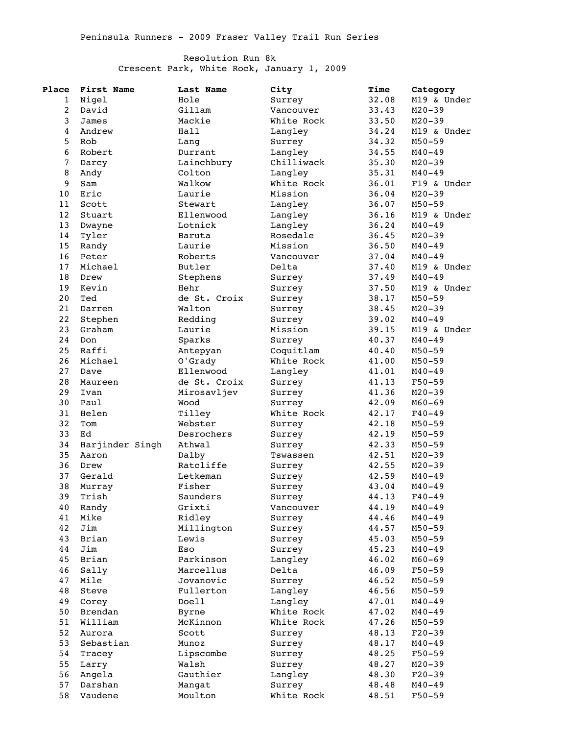## Resolution Run 8k Crescent Park, White Rock, January 1, 2009

| Place          | First Name      | Last Name    | City       | Time  | Category               |
|----------------|-----------------|--------------|------------|-------|------------------------|
| 1              | Nigel           | Hole         | Surrey     | 32.08 | M19 & Under            |
| $\overline{a}$ | David           | Gillam       | Vancouver  | 33.43 | $M20 - 39$             |
| 3              | James           | Mackie       | White Rock | 33.50 | $M20 - 39$             |
| $\overline{4}$ | Andrew          | Hall         | Langley    | 34.24 | M19 & Under            |
| 5              | Rob             | Lang         | Surrey     | 34.32 | $M50 - 59$             |
| 6              | Robert          | Durrant      | Langley    | 34.55 | $M40 - 49$             |
| $\sqrt{ }$     | Darcy           | Lainchbury   | Chilliwack | 35.30 | $M20 - 39$             |
| 8              | Andy            | Colton       | Langley    | 35.31 | $M40 - 49$             |
| 9              | Sam             | Walkow       | White Rock | 36.01 | F19 & Under            |
| 10             | Eric            | Laurie       | Mission    | 36.04 | $M20 - 39$             |
| 11             | Scott           | Stewart      | Langley    | 36.07 | $M50 - 59$             |
| 12             | Stuart          | Ellenwood    | Langley    | 36.16 | M19 & Under            |
| 13             | Dwayne          | Lotnick      | Langley    | 36.24 | $M40 - 49$             |
| 14             |                 |              | Rosedale   |       | $M20 - 39$             |
|                | Tyler           | Baruta       | Mission    | 36.45 |                        |
| 15             | Randy           | Laurie       |            | 36.50 | $M40 - 49$             |
| 16             | Peter           | Roberts      | Vancouver  | 37.04 | $M40 - 49$             |
| 17             | Michael         | Butler       | Delta      | 37.40 | M19 & Under            |
| 18             | Drew            | Stephens     | Surrey     | 37.49 | $M40 - 49$             |
| 19             | Kevin           | Hehr         | Surrey     | 37.50 | M19 & Under            |
| 20             | Ted             | de St. Croix | Surrey     | 38.17 | $M50 - 59$             |
| 21             | Darren          | Walton       | Surrey     | 38.45 | $M20 - 39$             |
| 22             | Stephen         | Redding      | Surrey     | 39.02 | $M40 - 49$             |
| 23             | Graham          | Laurie       | Mission    | 39.15 | M19 & Under            |
| 24             | Don             | Sparks       | Surrey     | 40.37 | $M40 - 49$             |
| 25             | Raffi           | Antepyan     | Coquitlam  | 40.40 | $M50 - 59$             |
| 26             | Michael         | O'Grady      | White Rock | 41.00 | $M50 - 59$             |
| 27             | Dave            | Ellenwood    | Langley    | 41.01 | $M40 - 49$             |
| 28             | Maureen         | de St. Croix | Surrey     | 41.13 | $F50 - 59$             |
| 29             | Ivan            | Mirosavljev  | Surrey     | 41.36 | $M20 - 39$             |
| 30             | Paul            | Wood         | Surrey     | 42.09 | $M60 - 69$             |
| 31             | Helen           | Tilley       | White Rock | 42.17 | $F40 - 49$             |
| 32             | Tom             | Webster      | Surrey     | 42.18 | $M50 - 59$             |
| 33             | Ed              | Desrochers   | Surrey     | 42.19 | $M50 - 59$             |
| 34             | Harjinder Singh | Athwal       | Surrey     | 42.33 | $M50 - 59$             |
| 35             | Aaron           | Dalby        | Tswassen   | 42.51 | $M20 - 39$             |
| 36             | Drew            | Ratcliffe    | Surrey     | 42.55 | $M20 - 39$             |
| 37             | Gerald          | Letkeman     | Surrey     | 42.59 | $M40 - 49$             |
| 38             | Murray          | Fisher       | Surrey     | 43.04 | $M40 - 49$             |
| 39             | Trish           | Saunders     | Surrey     | 44.13 | $F40 - 49$             |
| 40             | Randy           | Grixti       | Vancouver  | 44.19 | $M40 - 49$             |
| 41             | Mike            | Ridley       | Surrey     | 44.46 | $M40 - 49$             |
| 42             | Jim             | Millington   | Surrey     | 44.57 | $M50 - 59$             |
| 43             | Brian           | Lewis        | Surrey     | 45.03 | $M50 - 59$             |
| 44             | Jim             | Eso          | Surrey     | 45.23 | $M40 - 49$             |
| 45             | Brian           | Parkinson    | Langley    | 46.02 | $M60 - 69$             |
| 46             | Sally           | Marcellus    | Delta      | 46.09 | $F50 - 59$             |
| 47             | Mile            | Jovanovic    | Surrey     | 46.52 | $M50 - 59$             |
| 48             | Steve           | Fullerton    | Langley    | 46.56 | $M50 - 59$             |
| 49             | Corey           | Doell        | Langley    | 47.01 | $M40 - 49$             |
| 50             | Brendan         | Byrne        | White Rock | 47.02 | $M40 - 49$             |
| 51             | William         | McKinnon     | White Rock | 47.26 | $M50 - 59$             |
| 52             | Aurora          | Scott        |            |       |                        |
| 53             | Sebastian       |              | Surrey     | 48.13 | $F20-39$<br>$M40 - 49$ |
|                |                 | Munoz        | Surrey     | 48.17 |                        |
| 54             | Tracey          | Lipscombe    | Surrey     | 48.25 | $F50 - 59$             |
| 55             | Larry           | Walsh        | Surrey     | 48.27 | $M20 - 39$             |
| 56             | Angela          | Gauthier     | Langley    | 48.30 | $F20-39$               |
| 57             | Darshan         | Mangat       | Surrey     | 48.48 | $M40 - 49$             |
| 58             | Vaudene         | Moulton      | White Rock | 48.51 | $F50 - 59$             |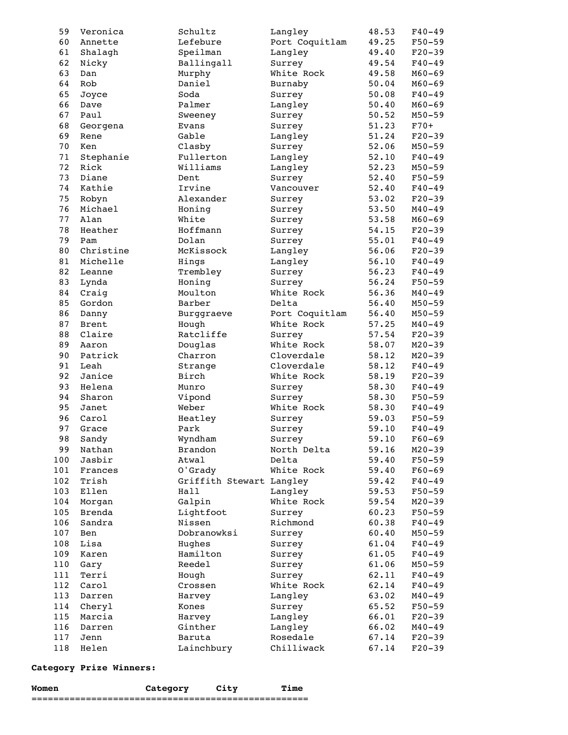| 59  | Veronica     | Schultz                  | Langley        | 48.53 | $F40 - 49$ |
|-----|--------------|--------------------------|----------------|-------|------------|
| 60  | Annette      | Lefebure                 | Port Coquitlam | 49.25 | $F50 - 59$ |
| 61  | Shalagh      | Speilman                 | Langley        | 49.40 | $F20-39$   |
| 62  | Nicky        | Ballingall               | Surrey         | 49.54 | $F40 - 49$ |
| 63  | Dan          | Murphy                   | White Rock     | 49.58 | $M60 - 69$ |
| 64  | Rob          | Daniel                   | Burnaby        | 50.04 | $M60 - 69$ |
| 65  | Joyce        | Soda                     | Surrey         | 50.08 | $F40 - 49$ |
| 66  | Dave         | Palmer                   | Langley        | 50.40 | $M60 - 69$ |
| 67  | Paul         | Sweeney                  | Surrey         | 50.52 | $M50 - 59$ |
| 68  | Georgena     | Evans                    | Surrey         | 51.23 | $F70+$     |
| 69  | Rene         | Gable                    | Langley        | 51.24 | $F20-39$   |
|     |              |                          |                |       |            |
| 70  | Ken          | Clasby                   | Surrey         | 52.06 | $M50 - 59$ |
| 71  | Stephanie    | Fullerton                | Langley        | 52.10 | $F40 - 49$ |
| 72  | Rick         | Williams                 | Langley        | 52.23 | $M50 - 59$ |
| 73  | Diane        | Dent                     | Surrey         | 52.40 | $F50 - 59$ |
| 74  | Kathie       | Irvine                   | Vancouver      | 52.40 | $F40 - 49$ |
| 75  | Robyn        | Alexander                | Surrey         | 53.02 | $F20-39$   |
| 76  | Michael      | Honing                   | Surrey         | 53.50 | $M40 - 49$ |
| 77  | Alan         | White                    | Surrey         | 53.58 | $M60 - 69$ |
| 78  | Heather      | Hoffmann                 | Surrey         | 54.15 | $F20-39$   |
| 79  | Pam          | Dolan                    | Surrey         | 55.01 | $F40 - 49$ |
| 80  | Christine    | McKissock                | Langley        | 56.06 | $F20-39$   |
| 81  | Michelle     | Hings                    | Langley        | 56.10 | $F40 - 49$ |
| 82  | Leanne       | Trembley                 | Surrey         | 56.23 | $F40 - 49$ |
| 83  | Lynda        | Honing                   | Surrey         | 56.24 | $F50 - 59$ |
| 84  | Craig        | Moulton                  | White Rock     | 56.36 | $M40 - 49$ |
| 85  | Gordon       | Barber                   | Delta          | 56.40 | $M50 - 59$ |
| 86  | Danny        | Burggraeve               | Port Coquitlam | 56.40 | $M50 - 59$ |
| 87  | <b>Brent</b> | Hough                    | White Rock     | 57.25 | $M40 - 49$ |
| 88  | Claire       | Ratcliffe                | Surrey         | 57.54 | $F20-39$   |
| 89  | Aaron        | Douglas                  | White Rock     | 58.07 | $M20 - 39$ |
| 90  | Patrick      | Charron                  | Cloverdale     | 58.12 | $M20 - 39$ |
| 91  | Leah         |                          | Cloverdale     |       | $F40 - 49$ |
| 92  |              | Strange<br>Birch         | White Rock     | 58.12 |            |
|     | Janice       |                          |                | 58.19 | $F20-39$   |
| 93  | Helena       | Munro                    | Surrey         | 58.30 | $F40 - 49$ |
| 94  | Sharon       | Vipond                   | Surrey         | 58.30 | $F50 - 59$ |
| 95  | Janet        | Weber                    | White Rock     | 58.30 | $F40 - 49$ |
| 96  | Carol        | Heatley                  | Surrey         | 59.03 | $F50 - 59$ |
| 97  | Grace        | Park                     | Surrey         | 59.10 | $F40 - 49$ |
| 98  | Sandy        | Wyndham                  | Surrey         | 59.10 | $F60 - 69$ |
| 99  | Nathan       | Brandon                  | North Delta    | 59.16 | $M20 - 39$ |
| 100 | Jasbir       | Atwal                    | Delta          | 59.40 | $F50 - 59$ |
| 101 | Frances      | O'Grady                  | White Rock     | 59.40 | $F60 - 69$ |
| 102 | Trish        | Griffith Stewart Langley |                | 59.42 | $F40 - 49$ |
| 103 | Ellen        | Hall                     | Langley        | 59.53 | $F50 - 59$ |
| 104 | Morgan       | Galpin                   | White Rock     | 59.54 | $M20 - 39$ |
| 105 | Brenda       | Lightfoot                | Surrey         | 60.23 | $F50 - 59$ |
| 106 | Sandra       | Nissen                   | Richmond       | 60.38 | $F40 - 49$ |
| 107 | Ben          | Dobranowksi              | Surrey         | 60.40 | $M50 - 59$ |
| 108 | Lisa         | Hughes                   | Surrey         | 61.04 | $F40 - 49$ |
| 109 | Karen        | Hamilton                 | Surrey         | 61.05 | $F40 - 49$ |
| 110 | Gary         | Reedel                   | Surrey         | 61.06 | $M50 - 59$ |
| 111 | Terri        | Hough                    | Surrey         | 62.11 | $F40 - 49$ |
| 112 | Carol        | Crossen                  | White Rock     | 62.14 | $F40 - 49$ |
| 113 | Darren       | Harvey                   | Langley        | 63.02 | $M40 - 49$ |
| 114 |              |                          |                |       |            |
|     | Cheryl       | Kones                    | Surrey         | 65.52 | $F50 - 59$ |
| 115 | Marcia       | Harvey                   | Langley        | 66.01 | $F20-39$   |
| 116 | Darren       | Ginther                  | Langley        | 66.02 | $M40 - 49$ |
| 117 | Jenn         | Baruta                   | Rosedale       | 67.14 | $F20-39$   |
| 118 | Helen        | Lainchbury               | Chilliwack     | 67.14 | $F20-39$   |

## **Category Prize Winners:**

| M∩n |  |    |
|-----|--|----|
|     |  | __ |